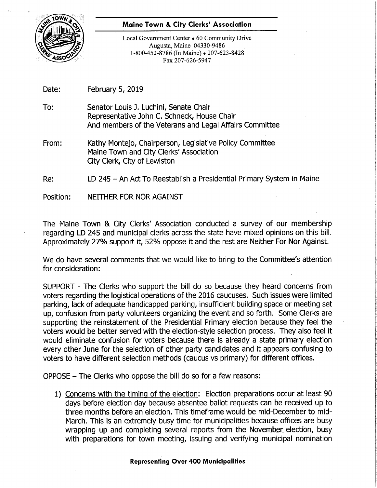

## $\blacksquare$  . Maine Town & City Clerks' Association

Local Government Center • 60 Community Drive Augusta, Maine 04330-9486 1-800-452-8786 (In Maine) • 207-623-8428 Fax 207-626-5947

> i 2 1:

la ll ii

?

Date: February 5, 2019

To: Senator Louis J. Luchini, Senate Chair Representative John C. Schneck, House Chair And members of the Veterans and Legal Affairs Committee

From: Kathy Montejo, Chairperson, Legislative Policy Committee Maine Town and City Clerks' Association City Clerk, City of Lewiston <sup>7</sup>

Re: LD 245 - An Act To Reestablish a Presidential Primary System in Maine

Position: NEITHER FOR NOR AGAINST

The Maine Town & City Clerks' Association conducted a survey of our membership regarding LD 245 and municipal clerks across the state have mixed opinions on this bill. Approximately 27% support it, 52% oppose it and the rest are Neither For Nor Against.

We do have several comments that we would like to bring to the Committee's attention for consideration:

SUPPORT - The Clerks who support the bill do so because they heard concerns from voters regarding the logistical operations of the 2016 caucuses. Such issues were limited parking, lack of adequate handicapped parking, insufficient building space or meeting set up, confusion from party volunteers organizing the event and so forth. Some Clerks are supporting the reinstatement of the Presidential Primary election because they feel the voters would be better served with the election-style selection process. They also feel it would eliminate confusion for voters because there is already a state primary election every other June for the selection of other party candidates and it appears confusing to voters to have different selection methods (caucus vs primary) for different offices.

 $OPPOSE$  – The Clerks who oppose the bill do so for a few reasons:

1) Concerns with the timing of the election: Election preparations occur at least 90 days before election day because absentee ballot requests can be received up to three months before an election. This timeframe would be mid-December to mid-March. This is an extremely busy time for municipalities because offices are busy wrapping up and completing several reports from the November election, busy with preparations for town meeting, issuing and verifying municipal nomination

## Representing Over 400 Municipalities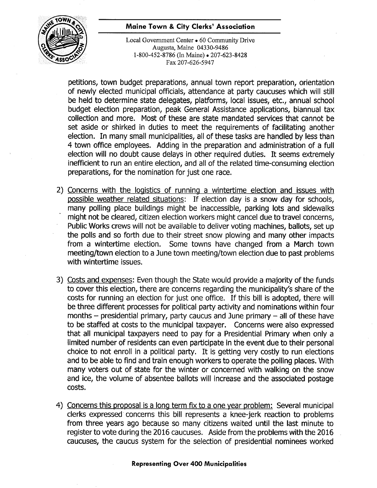## **Example 2** Maine Town & City Clerks' Association



Local Government Center • 60 Community Drive 5 Augusta, Maine 04330-9486 .1-800-452-8786 (In Maine) . 207-623-8428 Fax 207-626-5947

petitions, town budget preparations, annual town report preparation, orientation of newly elected municipal officials, attendance at party caucuses which will still be held to determine state delegates, platforms, local issues, etc., annual school budget election preparation, peak General Assistance applications, biannual tax collection and more. Most of these are state mandated sen/ices that cannot be set aside or shirked in duties to meet the requirements of facilitating another election. In many small municipalities, all of these tasks are handled by less than 4 town office employees. Adding in the preparation and administration of a full election will no doubt cause delays in other required duties. It seems extremely inefficient to run an entire election, and all of the related time-consuming election preparations, for the nomination for just one race.

- 2) Concerns with the logistics of running a wintertime election and issues with possible weather related situations: If election day is a snow day for schools, many polling place buildings might be inaccessible, parking lots and sidewalks might not be cleared, citizen election workers might cancel due to travel concerns, Public Works crews will not be available to deliver voting machines, ballots, set up the polls and so forth due to their street snow plowing and many other impacts from a wintertime election. Some towns have changed from a March town meeting/town election to a June town meeting/town election due to past problems with wintertime issues.
- 3) Costs and expenses: Even though the State would provide a majority of the funds to cover this election, there are concerns regarding the municipality's share of the costs for running an election for just one office. If this bill is adopted, there will be three different processes for political party activity and nominations within four months  $-$  presidential primary, party caucus and June primary  $-$  all of these have to be staffed at costs to the municipal taxpayer. Concerns were also expressed that all municipal taxpayers need to pay for a Presidential Primary when only <sup>a</sup> limited number of residents can even participate in the event due to their personal choice to not enroll in a political party. It is getting very costly to run elections and to be able to find and train enough workers to operate the polling places. With many voters out of state for the winter or concerned with walking on the snow and ice, the volume of absentee ballots will increase and the associated postage costs.
- 4) Concerns this proposal is a long term fix to a one year problem: Several municipal clerks expressed concerns this bill represents a knee-jerk reaction to problems from three years ago because so many citizens waited until the last minute to register to vote during the 2016 caucuses. Aside from the problems with the 2016 caucuses, the caucus system for the selection of presidential nominees worked